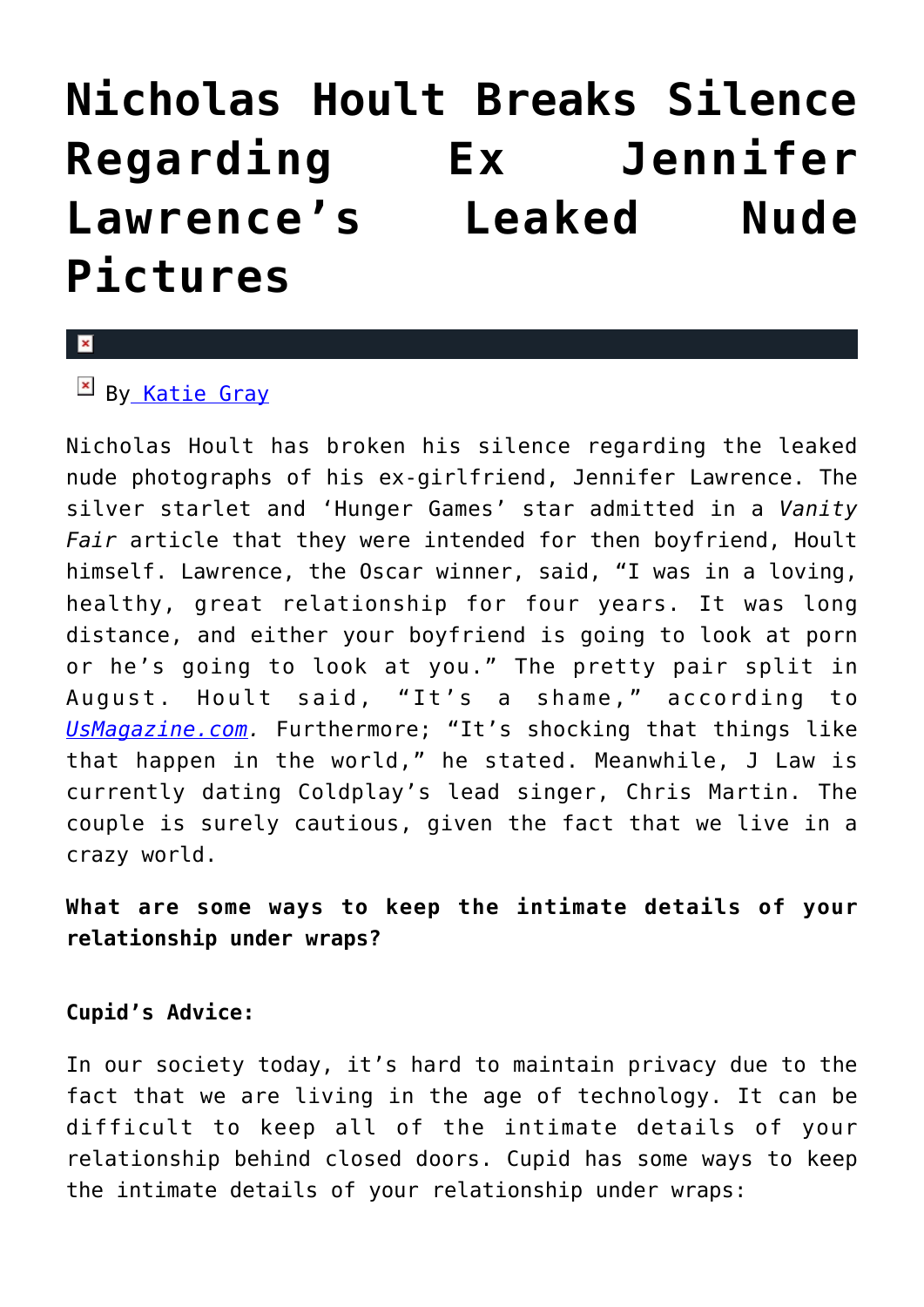# **[Nicholas Hoult Breaks Silence](https://cupidspulse.com/81724/nicholas-hoult-breaks-silence-ex-jennifer-lawrence-nude-pictures/) [Regarding Ex Jennifer](https://cupidspulse.com/81724/nicholas-hoult-breaks-silence-ex-jennifer-lawrence-nude-pictures/) [Lawrence's Leaked Nude](https://cupidspulse.com/81724/nicholas-hoult-breaks-silence-ex-jennifer-lawrence-nude-pictures/) [Pictures](https://cupidspulse.com/81724/nicholas-hoult-breaks-silence-ex-jennifer-lawrence-nude-pictures/)**

#### x

 $\mathbb{F}$  B[y Katie Gray](http://cupidspulse.com/105088/katie-gray/)

Nicholas Hoult has broken his silence regarding the leaked nude photographs of his ex-girlfriend, Jennifer Lawrence. The silver starlet and 'Hunger Games' star admitted in a *Vanity Fair* article that they were intended for then boyfriend, Hoult himself. Lawrence, the Oscar winner, said, "I was in a loving, healthy, great relationship for four years. It was long distance, and either your boyfriend is going to look at porn or he's going to look at you." The pretty pair split in August. Hoult said, "It's a shame," according to *[UsMagazine.com.](http://www.usmagazine.com/celebrity-news/news/jennifer-lawrences-ex-nicholas-hoult-calls-leaked-nude-photos-a-shame-2014910)* Furthermore; "It's shocking that things like that happen in the world," he stated. Meanwhile, J Law is currently dating Coldplay's lead singer, Chris Martin. The couple is surely cautious, given the fact that we live in a crazy world.

## **What are some ways to keep the intimate details of your relationship under wraps?**

### **Cupid's Advice:**

In our society today, it's hard to maintain privacy due to the fact that we are living in the age of technology. It can be difficult to keep all of the intimate details of your relationship behind closed doors. Cupid has some ways to keep the intimate details of your relationship under wraps: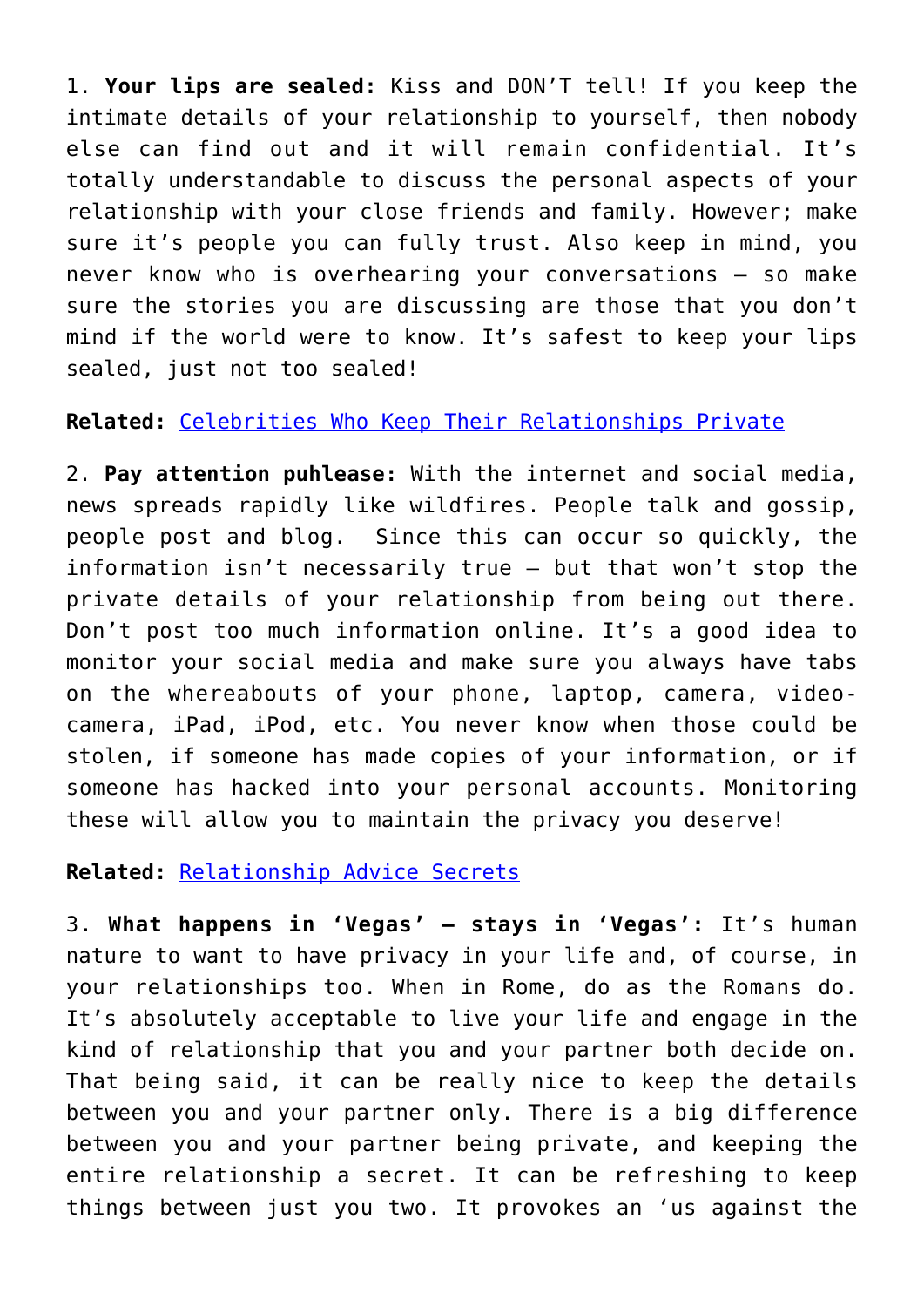1. **Your lips are sealed:** Kiss and DON'T tell! If you keep the intimate details of your relationship to yourself, then nobody else can find out and it will remain confidential. It's totally understandable to discuss the personal aspects of your relationship with your close friends and family. However; make sure it's people you can fully trust. Also keep in mind, you never know who is overhearing your conversations – so make sure the stories you are discussing are those that you don't mind if the world were to know. It's safest to keep your lips sealed, just not too sealed!

## **Related:** [Celebrities Who Keep Their Relationships Private](http://cupidspulse.com/67785/celebrity-couples-relationships-out-of-spotlight/)

2. **Pay attention puhlease:** With the internet and social media, news spreads rapidly like wildfires. People talk and gossip, people post and blog. Since this can occur so quickly, the information isn't necessarily true – but that won't stop the private details of your relationship from being out there. Don't post too much information online. It's a good idea to monitor your social media and make sure you always have tabs on the whereabouts of your phone, laptop, camera, videocamera, iPad, iPod, etc. You never know when those could be stolen, if someone has made copies of your information, or if someone has hacked into your personal accounts. Monitoring these will allow you to maintain the privacy you deserve!

## **Related:** [Relationship Advice Secrets](http://cupidspulse.com/80052/melanie-mar-sharing-personal-secrets/)

3. **What happens in 'Vegas' – stays in 'Vegas':** It's human nature to want to have privacy in your life and, of course, in your relationships too. When in Rome, do as the Romans do. It's absolutely acceptable to live your life and engage in the kind of relationship that you and your partner both decide on. That being said, it can be really nice to keep the details between you and your partner only. There is a big difference between you and your partner being private, and keeping the entire relationship a secret. It can be refreshing to keep things between just you two. It provokes an 'us against the